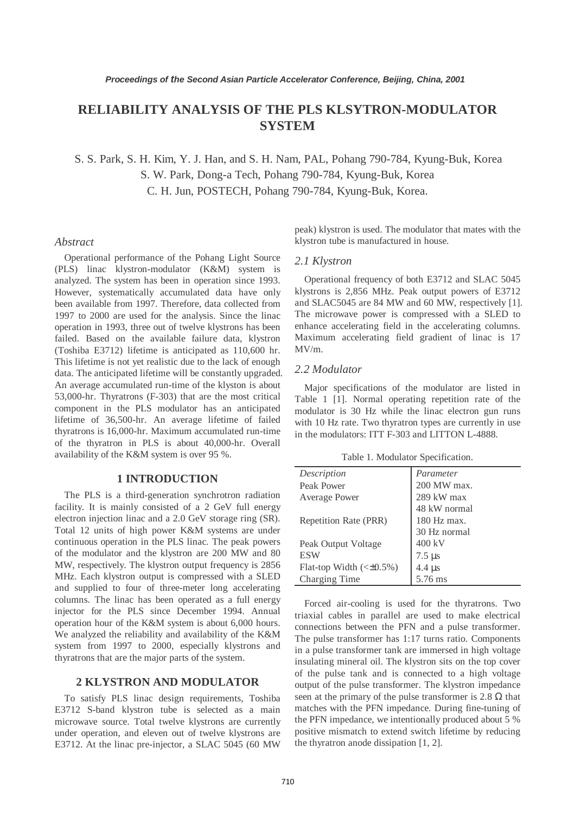# **RELIABILITY ANALYSIS OF THE PLS KLSYTRON-MODULATOR SYSTEM**

S. S. Park, S. H. Kim, Y. J. Han, and S. H. Nam, PAL, Pohang 790-784, Kyung-Buk, Korea S. W. Park, Dong-a Tech, Pohang 790-784, Kyung-Buk, Korea C. H. Jun, POSTECH, Pohang 790-784, Kyung-Buk, Korea.

#### *Abstract*

Operational performance of the Pohang Light Source (PLS) linac klystron-modulator (K&M) system is analyzed. The system has been in operation since 1993. However, systematically accumulated data have only been available from 1997. Therefore, data collected from 1997 to 2000 are used for the analysis. Since the linac operation in 1993, three out of twelve klystrons has been failed. Based on the available failure data, klystron (Toshiba E3712) lifetime is anticipated as 110,600 hr. This lifetime is not yet realistic due to the lack of enough data. The anticipated lifetime will be constantly upgraded. An average accumulated run-time of the klyston is about 53,000-hr. Thyratrons (F-303) that are the most critical component in the PLS modulator has an anticipated lifetime of 36,500-hr. An average lifetime of failed thyratrons is 16,000-hr. Maximum accumulated run-time of the thyratron in PLS is about 40,000-hr. Overall availability of the K&M system is over 95 %.

## **1 INTRODUCTION**

The PLS is a third-generation synchrotron radiation facility. It is mainly consisted of a 2 GeV full energy electron injection linac and a 2.0 GeV storage ring (SR). Total 12 units of high power K&M systems are under continuous operation in the PLS linac. The peak powers of the modulator and the klystron are 200 MW and 80 MW, respectively. The klystron output frequency is 2856 MHz. Each klystron output is compressed with a SLED and supplied to four of three-meter long accelerating columns. The linac has been operated as a full energy injector for the PLS since December 1994. Annual operation hour of the K&M system is about 6,000 hours. We analyzed the reliability and availability of the K&M system from 1997 to 2000, especially klystrons and thyratrons that are the major parts of the system.

# **2 KLYSTRON AND MODULATOR**

To satisfy PLS linac design requirements, Toshiba E3712 S-band klystron tube is selected as a main microwave source. Total twelve klystrons are currently under operation, and eleven out of twelve klystrons are E3712. At the linac pre-injector, a SLAC 5045 (60 MW peak) klystron is used. The modulator that mates with the klystron tube is manufactured in house.

## *2.1 Klystron*

Operational frequency of both E3712 and SLAC 5045 klystrons is 2,856 MHz. Peak output powers of E3712 and SLAC5045 are 84 MW and 60 MW, respectively [1]. The microwave power is compressed with a SLED to enhance accelerating field in the accelerating columns. Maximum accelerating field gradient of linac is 17 MV/m.

#### *2.2 Modulator*

Major specifications of the modulator are listed in Table 1 [1]. Normal operating repetition rate of the modulator is 30 Hz while the linac electron gun runs with 10 Hz rate. Two thyratron types are currently in use in the modulators: ITT F-303 and LITTON L-4888.

Table 1. Modulator Specification.

| Description                       | Parameter              |
|-----------------------------------|------------------------|
| Peak Power                        | 200 MW max.            |
| <b>Average Power</b>              | 289 kW max             |
|                                   | 48 kW normal           |
| Repetition Rate (PRR)             | $180$ Hz max.          |
|                                   | 30 Hz normal           |
| Peak Output Voltage               | 400 kV                 |
| <b>ESW</b>                        | $7.5 \,\mathrm{\mu s}$ |
| Flat-top Width $(\leq \pm 0.5\%)$ | 4.4 $\mu$ s            |
| Charging Time                     | 5.76 ms                |

Forced air-cooling is used for the thyratrons. Two triaxial cables in parallel are used to make electrical connections between the PFN and a pulse transformer. The pulse transformer has 1:17 turns ratio. Components in a pulse transformer tank are immersed in high voltage insulating mineral oil. The klystron sits on the top cover of the pulse tank and is connected to a high voltage output of the pulse transformer. The klystron impedance seen at the primary of the pulse transformer is 2.8  $\Omega$  that matches with the PFN impedance. During fine-tuning of the PFN impedance, we intentionally produced about 5 % positive mismatch to extend switch lifetime by reducing the thyratron anode dissipation [1, 2].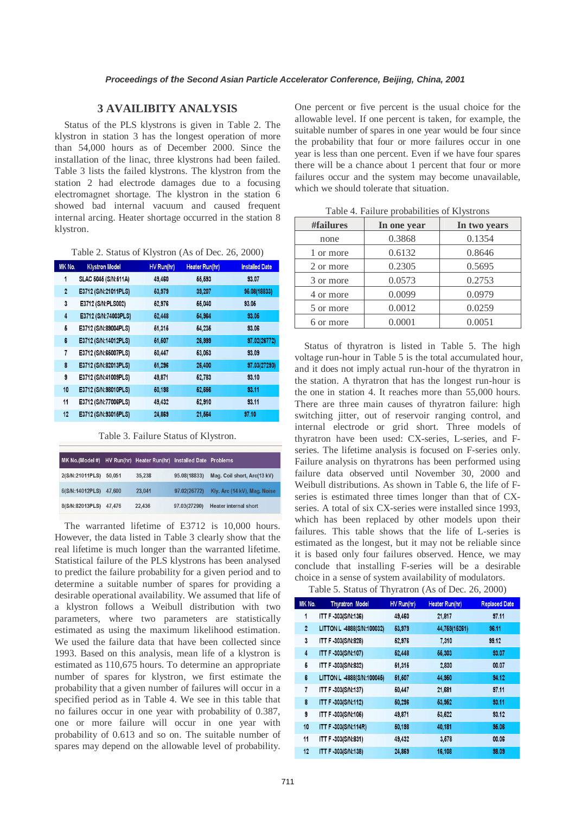## **3 AVAILIBITY ANALYSIS**

Status of the PLS klystrons is given in Table 2. The klystron in station 3 has the longest operation of more than 54,000 hours as of December 2000. Since the installation of the linac, three klystrons had been failed. Table 3 lists the failed klystrons. The klystron from the station 2 had electrode damages due to a focusing electromagnet shortage. The klystron in the station 6 showed bad internal vacuum and caused frequent internal arcing. Heater shortage occurred in the station 8 klystron.

|  | Table 2. Status of Klystron (As of Dec. 26, 2000) |  |
|--|---------------------------------------------------|--|
|  |                                                   |  |

| MK No.         | <b>Klystron Model</b> | HV Run(hr) | Heater Run(hr) | <b>Installed Date</b> |
|----------------|-----------------------|------------|----------------|-----------------------|
| 1              | SLAC 5045 (S/N:511A)  | 49,460     | 66,693         | 93.07                 |
| $\overline{2}$ | E3712 (S/N:21011PLS)  | 53,979     | 39,207         | 96.08(18833)          |
| 3              | E3712 (S/N:PLS002)    | 62,976     | 66,040         | 93.06                 |
| $\overline{4}$ | E3712 (S/N:74003PLS)  | 62,448     | 64.964         | 93.06                 |
| 6              | E3712 (S/N:89004PLS)  | 61,316     | 64.236         | 93.06                 |
| 6              | E3712 (S/N:14012PLS)  | 61,607     | 26,999         | 97.02(26772)          |
| 7              | E3712 (S/N:66007PLS)  | 60,447     | 63,063         | 93.09                 |
| 8              | E3712 (S/N:82013PLS)  | 61,296     | 26,400         | 97.03(27290)          |
| 9              | E3712 (S/N:41009PLS)  | 49,871     | 62,783         | 93.10                 |
| 10             | E3712 (S/N:98010PLS)  | 50,198     | 62,666         | 93.11                 |
| 11             | E3712 (S/N:77006PLS)  | 49,432     | 62,910         | 93.11                 |
| 12             | E3712 (S/N:93016PLS)  | 24,869     | 21,564         | 97.10                 |

Table 3. Failure Status of Klystron.

| MK No.(Model #)        |        | HV Run(hr) Heater Run(hr) Installed Date Problems |              |                              |
|------------------------|--------|---------------------------------------------------|--------------|------------------------------|
| 2(S/N:21011PLS)        | 50.051 | 35.238                                            | 95.08(18833) | Mag. Coil short, Arc(13 kV)  |
| 6(S/N:14012PLS)        | 47.600 | 23.041                                            | 97.02(26772) | Kly. Arc (14 kV), Mag. Noise |
| 8(S/N:82013PLS) 47,476 |        | 22,436                                            | 97.03(27290) | <b>Heater internal short</b> |

The warranted lifetime of E3712 is 10,000 hours. However, the data listed in Table 3 clearly show that the real lifetime is much longer than the warranted lifetime. Statistical failure of the PLS klystrons has been analysed to predict the failure probability for a given period and to determine a suitable number of spares for providing a desirable operational availability. We assumed that life of a klystron follows a Weibull distribution with two parameters, where two parameters are statistically estimated as using the maximum likelihood estimation. We used the failure data that have been collected since 1993. Based on this analysis, mean life of a klystron is estimated as 110,675 hours. To determine an appropriate number of spares for klystron, we first estimate the probability that a given number of failures will occur in a specified period as in Table 4. We see in this table that no failures occur in one year with probability of 0.387, one or more failure will occur in one year with probability of 0.613 and so on. The suitable number of spares may depend on the allowable level of probability.

One percent or five percent is the usual choice for the allowable level. If one percent is taken, for example, the suitable number of spares in one year would be four since the probability that four or more failures occur in one year is less than one percent. Even if we have four spares there will be a chance about 1 percent that four or more failures occur and the system may become unavailable, which we should tolerate that situation.

| #failures | In one year | In two years |  |  |  |
|-----------|-------------|--------------|--|--|--|
| none      | 0.3868      | 0.1354       |  |  |  |
| 1 or more | 0.6132      | 0.8646       |  |  |  |
| 2 or more | 0.2305      | 0.5695       |  |  |  |
| 3 or more | 0.0573      | 0.2753       |  |  |  |
| 4 or more | 0.0099      | 0.0979       |  |  |  |
| 5 or more | 0.0012      | 0.0259       |  |  |  |
| 6 or more | 0.0001      | 0.0051       |  |  |  |

Table 4. Failure probabilities of Klystrons

Status of thyratron is listed in Table 5. The high voltage run-hour in Table 5 is the total accumulated hour, and it does not imply actual run-hour of the thyratron in the station. A thyratron that has the longest run-hour is the one in station 4. It reaches more than 55,000 hours. There are three main causes of thyratron failure: high switching jitter, out of reservoir ranging control, and internal electrode or grid short. Three models of thyratron have been used: CX-series, L-series, and Fseries. The lifetime analysis is focused on F-series only. Failure analysis on thyratrons has been performed using failure data observed until November 30, 2000 and Weibull distributions. As shown in Table 6, the life of Fseries is estimated three times longer than that of CXseries. A total of six CX-series were installed since 1993, which has been replaced by other models upon their failures. This table shows that the life of L-series is estimated as the longest, but it may not be reliable since it is based only four failures observed. Hence, we may conclude that installing F-series will be a desirable choice in a sense of system availability of modulators.

Table 5. Status of Thyratron (As of Dec. 26, 2000)

| MK No.         | <b>Thyratron Model</b>     | HV Run(hr) | <b>Heater Run(hr)</b> | <b>Replaced Date</b> |  |
|----------------|----------------------------|------------|-----------------------|----------------------|--|
| 1              | ITT F-303(S/N:136)         | 49,460     | 21,817                | 97.11                |  |
| $\overline{2}$ | LITTON L 4888(S/N:100032)  | 63,979     | 44,759(15261)         | 96.11                |  |
| 3              | ITT F-303(S/N:828)         | 62,976     | 7,310                 | 99.12                |  |
| $\overline{4}$ | ITT F-303(S/N:107)         | 62,448     | 66,303                | 93.07                |  |
| 6              | ITT F-303(S/N:832)         | 61,316     | 2,830                 | 00.07                |  |
| 6              | LITTON L -4888(S/N:100046) | 61,607     | 44,950                | 94.12                |  |
| 7              | ITT F-303(S/N:137)         | 60,447     | 21,681                | 97.11                |  |
| 8              | ITT F-303(S/N:112)         | 60,296     | 63,962                | 93.11                |  |
| 9              | ITT F-303(S/N:105)         | 49,871     | 63,622                | 93.12                |  |
| 10             | <b>ITT F-303(S/N:114R)</b> | 50,198     | 40,181                | 96.06                |  |
| 11             | ITT F-303(S/N:831)         | 49,432     | 3,578                 | 00.06                |  |
| 12             | <b>ITT F-303(S/N:138)</b>  | 24,869     | 16,108                | 98.09                |  |